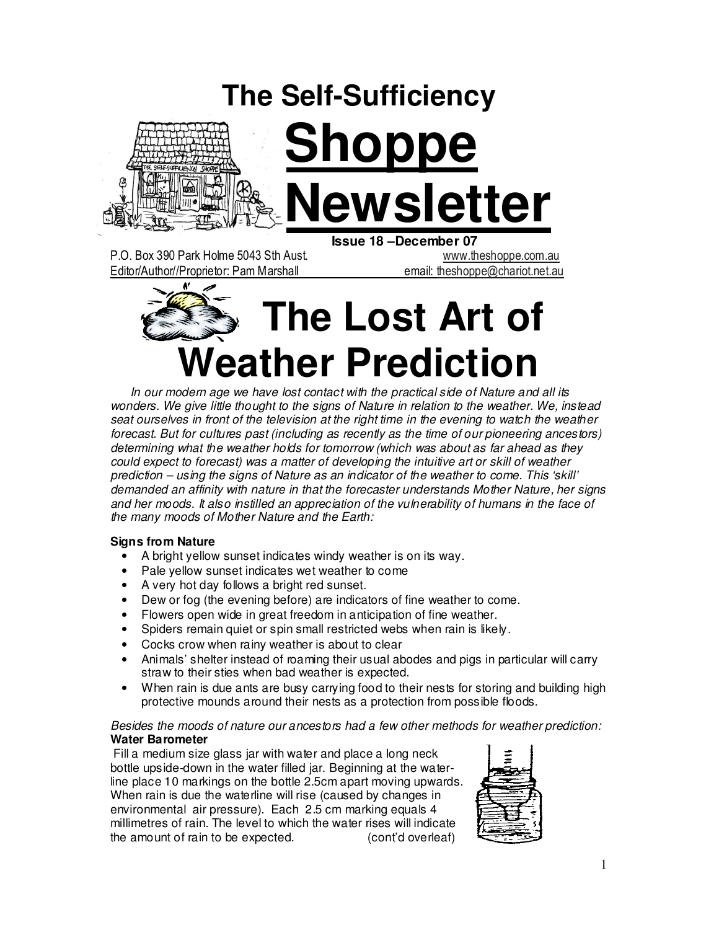# **The Self-Sufficiency**



# **Shoppe Newsletter**

P.O. Box 390 Park Holme 5043 Sth Aust. www.theshoppe.com.au Editor/Author//Proprietor: Pam Marshall email: theshoppe@chariot.net.au

 **Issue 18 –December 07** 



 In our modern age we have lost contact with the practical side of Nature and all its wonders. We give little thought to the signs of Nature in relation to the weather. We, instead seat ourselves in front of the television at the right time in the evening to watch the weather forecast. But for cultures past (including as recently as the time of our pioneering ancestors) determining what the weather holds for tomorrow (which was about as far ahead as they could expect to forecast) was a matter of developing the intuitive art or skill of weather prediction – using the signs of Nature as an indicator of the weather to come. This 'skill' demanded an affinity with nature in that the forecaster understands Mother Nature, her signs and her moods. It also instilled an appreciation of the vulnerability of humans in the face of the many moods of Mother Nature and the Earth:

#### **Signs from Nature**

- A bright yellow sunset indicates windy weather is on its way.
- Pale yellow sunset indicates wet weather to come
- A very hot day follows a bright red sunset.
- Dew or fog (the evening before) are indicators of fine weather to come.
- Flowers open wide in great freedom in anticipation of fine weather.
- Spiders remain quiet or spin small restricted webs when rain is likely.
- Cocks crow when rainy weather is about to clear
- Animals' shelter instead of roaming their usual abodes and pigs in particular will carry straw to their sties when bad weather is expected.
- When rain is due ants are busy carrying food to their nests for storing and building high protective mounds around their nests as a protection from possible floods.

#### Besides the moods of nature our ancestors had a few other methods for weather prediction: **Water Barometer**

 Fill a medium size glass jar with water and place a long neck bottle upside-down in the water filled jar. Beginning at the waterline place 10 markings on the bottle 2.5cm apart moving upwards. When rain is due the waterline will rise (caused by changes in environmental air pressure). Each 2.5 cm marking equals 4 millimetres of rain. The level to which the water rises will indicate the amount of rain to be expected. (cont'd overleaf)

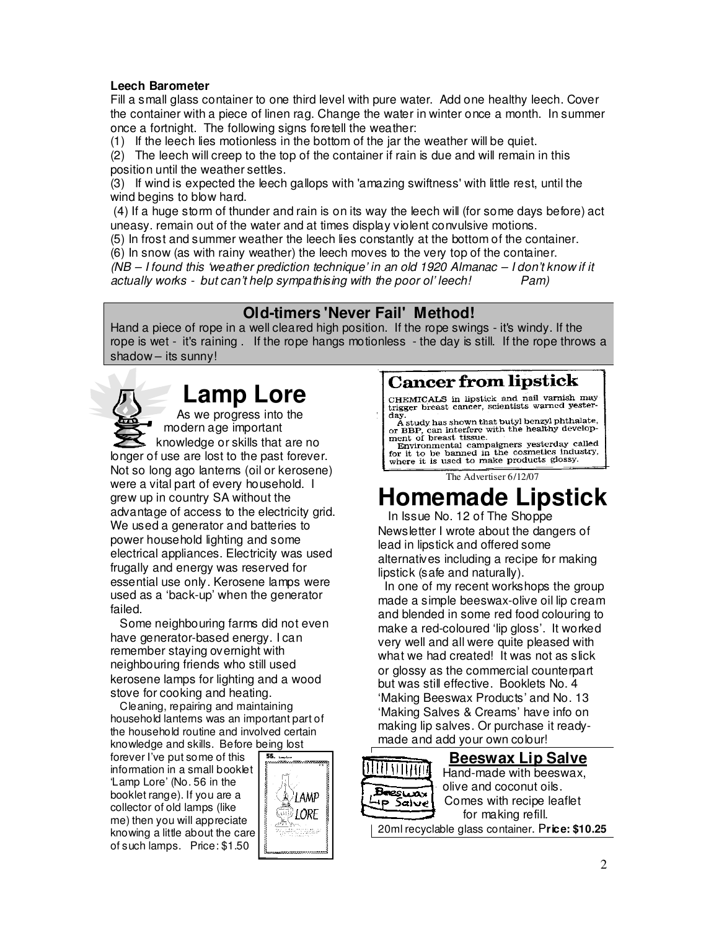#### **Leech Barometer**

Fill a small glass container to one third level with pure water. Add one healthy leech. Cover the container with a piece of linen rag. Change the water in winter once a month. In summer once a fortnight. The following signs foretell the weather:

(1) If the leech lies motionless in the bottom of the jar the weather will be quiet.

(2) The leech will creep to the top of the container if rain is due and will remain in this position until the weather settles.

(3) If wind is expected the leech gallops with 'amazing swiftness' with little rest, until the wind begins to blow hard.

 (4) If a huge storm of thunder and rain is on its way the leech will (for some days before) act uneasy. remain out of the water and at times display violent convulsive motions.

(5) In frost and summer weather the leech lies constantly at the bottom of the container.

(6) In snow (as with rainy weather) the leech moves to the very top of the container.

(NB – I found this 'weather prediction technique' in an old 1920 Almanac – I don't know if it actually works - but can't help sympathising with the poor ol' leech! Pam)

### **Old-timers 'Never Fail' Method!**

Hand a piece of rope in a well cleared high position. If the rope swings - it's windy. If the rope is wet - it's raining . If the rope hangs motionless - the day is still. If the rope throws a shadow – its sunny!

## **Lamp Lore**

As we progress into the modern age important knowledge or skills that are no longer of use are lost to the past forever. Not so long ago lanterns (oil or kerosene) were a vital part of every household. I grew up in country SA without the advantage of access to the electricity grid. We used a generator and batteries to power household lighting and some electrical appliances. Electricity was used frugally and energy was reserved for essential use only. Kerosene lamps were used as a 'back-up' when the generator failed.

 Some neighbouring farms did not even have generator-based energy. I can remember staying overnight with neighbouring friends who still used kerosene lamps for lighting and a wood stove for cooking and heating.

 Cleaning, repairing and maintaining household lanterns was an important part of the household routine and involved certain knowledge and skills. Before being lost

forever I've put some of this information in a small booklet 'Lamp Lore' (No. 56 in the booklet range). If you are a collector of old lamps (like me) then you will appreciate knowing a little about the care of such lamps. Price: \$1.50



## **Cancer from lipstick**

CHEMICALS in lipstick and nail varnish may<br>trigger breast cancer, scientists warned yester-

day.<br>
A study has shown that butyl benzyl phthalate,<br>
A study has shown that butyl benzyl phthalate,<br>
or BBP, can interfere with the healthy develop-<br>
ment of breast tissue.

ment of breast ussue.<br>Environmental campaigners yesterday called<br>for it to be banned in the cosmetics industry,<br>where it is used to make products glossy.

The Advertiser 6/12/07

## **Homemade Lipstick**

 In Issue No. 12 of The Shoppe Newsletter I wrote about the dangers of lead in lipstick and offered some alternatives including a recipe for making lipstick (safe and naturally).

 In one of my recent workshops the group made a simple beeswax-olive oil lip cream and blended in some red food colouring to make a red-coloured 'lip gloss'. It worked very well and all were quite pleased with what we had created! It was not as slick or glossy as the commercial counterpart but was still effective. Booklets No. 4 'Making Beeswax Products' and No. 13 'Making Salves & Creams' have info on making lip salves. Or purchase it readymade and add your own colour!



**Beeswax Lip Salve**<br>Hand-made with beeswax Hand-made with beeswax,  $\overrightarrow{B}$  $\overrightarrow{B}$  $\overrightarrow{B}$  $\overrightarrow{C}$  olive and coconut oils.  $\frac{1}{2}$  Salve Comes with recipe leaflet for making refill.

20ml recyclable glass container. P**rice: \$10.25**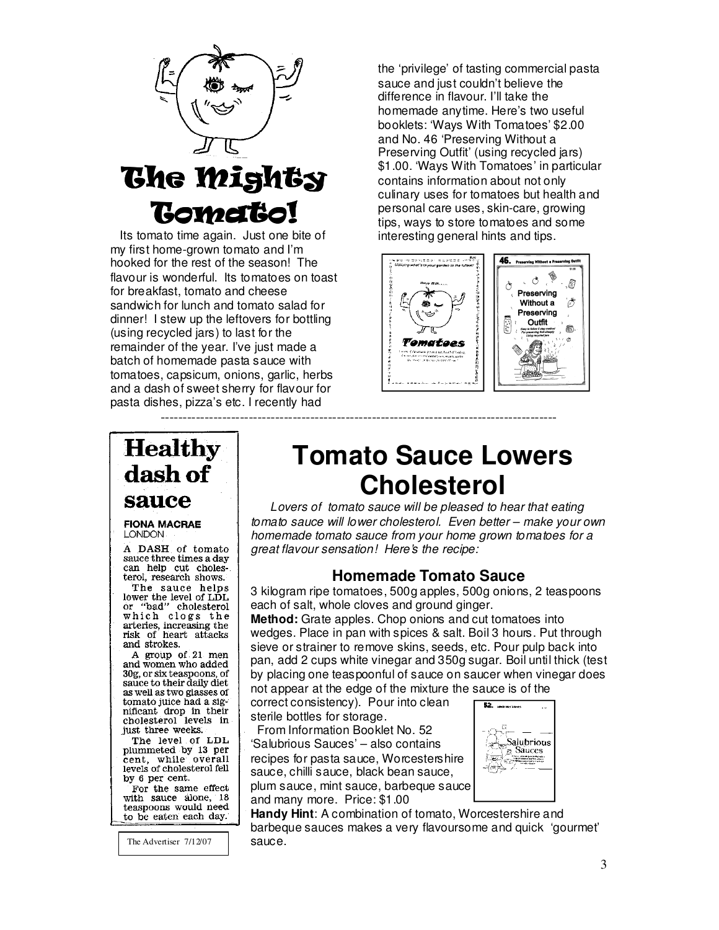

## The Mighty **Tomato!**

 Its tomato time again. Just one bite of my first home-grown tomato and I'm hooked for the rest of the season! The flavour is wonderful. Its tomatoes on toast for breakfast, tomato and cheese sandwich for lunch and tomato salad for dinner! I stew up the leftovers for bottling (using recycled jars) to last for the remainder of the year. I've just made a batch of homemade pasta sauce with tomatoes, capsicum, onions, garlic, herbs and a dash of sweet sherry for flavour for pasta dishes, pizza's etc. I recently had

the 'privilege' of tasting commercial pasta sauce and just couldn't believe the difference in flavour. I'll take the homemade anytime. Here's two useful booklets: 'Ways With Tomatoes' \$2.00 and No. 46 'Preserving Without a Preserving Outfit' (using recycled jars) \$1.00. 'Ways With Tomatoes' in particular contains information about not only culinary uses for tomatoes but health and personal care uses, skin-care, growing tips, ways to store tomatoes and some interesting general hints and tips.



## **Healthy** dash of sauce

#### **FIONA MACRAE LONDON**

A DASH of tomato sauce three times a day can help cut cholesterol, research shows.

The sauce helps lower the level of LDL<br>or "bad" cholesterol which clogs the arteries, increasing the risk of heart attacks and strokes.

A group of 21 men and women who added 30g, or six teaspoons, of sauce to their daily diet as well as two glasses of as well as two glasses of<br>tomato juice had a sig-<br>nificant drop in their cholesterol levels in just three weeks.

The level of LDL plummeted by 13 per cent, while overall levels of cholesterol fell by 6 per cent.

For the same effect with sauce alone, 18 teaspoons would need to be eaten each day.

The Advertiser  $7/12/07$  Sauce.

## **Tomato Sauce Lowers Cholesterol**

Lovers of tomato sauce will be pleased to hear that eating tomato sauce will lower cholesterol. Even better – make your own homemade tomato sauce from your home grown tomatoes for a great flavour sensation! Here's the recipe:

## **Homemade Tomato Sauce**

3 kilogram ripe tomatoes, 500g apples, 500g onions, 2 teaspoons each of salt, whole cloves and ground ginger.

**Method:** Grate apples. Chop onions and cut tomatoes into wedges. Place in pan with spices & salt. Boil 3 hours. Put through sieve or strainer to remove skins, seeds, etc. Pour pulp back into pan, add 2 cups white vinegar and 350g sugar. Boil until thick (test by placing one teaspoonful of sauce on saucer when vinegar does not appear at the edge of the mixture the sauce is of the

correct consistency). Pour into clean sterile bottles for storage.

------------------------------------------------------------------------------------------

 From Information Booklet No. 52 'Salubrious Sauces' – also contains recipes for pasta sauce, Worcestershire sauce, chilli sauce, black bean sauce, plum sauce, mint sauce, barbeque sauce and many more. Price: \$1.00



**Handy Hint**: A combination of tomato, Worcestershire and barbeque sauces makes a very flavoursome and quick 'gourmet'